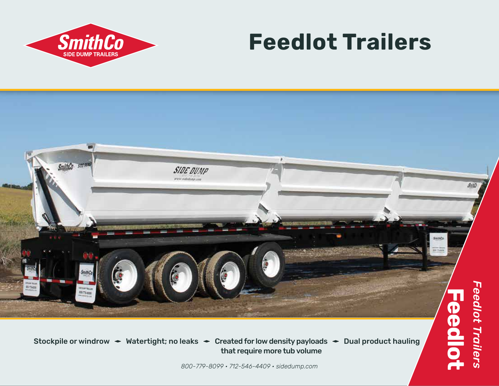

# **Feedlot Trailers**



Stockpile or windrow  $\rightarrow$  Watertight; no leaks  $\rightarrow$  Created for low density payloads  $\rightarrow$  Dual product hauling that require more tub volume

*800-779-8099 • 712-546-4409 • sidedump.com*